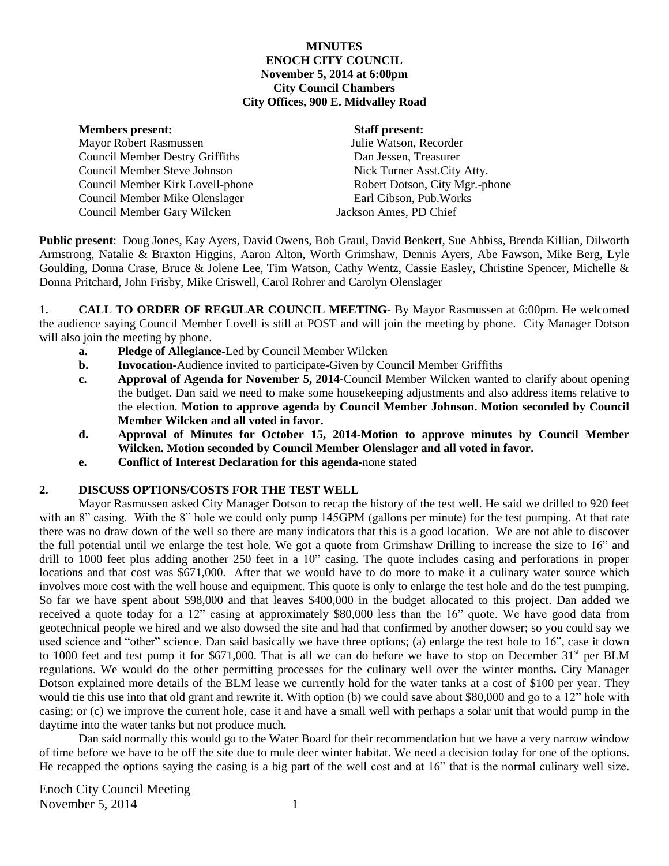#### **MINUTES ENOCH CITY COUNCIL November 5, 2014 at 6:00pm City Council Chambers City Offices, 900 E. Midvalley Road**

| <b>Members</b> present:                | <b>Staff present:</b>          |
|----------------------------------------|--------------------------------|
| Mayor Robert Rasmussen                 | Julie Watson, Recorder         |
| <b>Council Member Destry Griffiths</b> | Dan Jessen, Treasurer          |
| Council Member Steve Johnson           | Nick Turner Asst. City Atty.   |
| Council Member Kirk Lovell-phone       | Robert Dotson, City Mgr.-phone |
| Council Member Mike Olenslager         | Earl Gibson, Pub. Works        |
| Council Member Gary Wilcken            | Jackson Ames, PD Chief         |

**Public present**: Doug Jones, Kay Ayers, David Owens, Bob Graul, David Benkert, Sue Abbiss, Brenda Killian, Dilworth Armstrong, Natalie & Braxton Higgins, Aaron Alton, Worth Grimshaw, Dennis Ayers, Abe Fawson, Mike Berg, Lyle Goulding, Donna Crase, Bruce & Jolene Lee, Tim Watson, Cathy Wentz, Cassie Easley, Christine Spencer, Michelle & Donna Pritchard, John Frisby, Mike Criswell, Carol Rohrer and Carolyn Olenslager

**1. CALL TO ORDER OF REGULAR COUNCIL MEETING-** By Mayor Rasmussen at 6:00pm. He welcomed the audience saying Council Member Lovell is still at POST and will join the meeting by phone. City Manager Dotson will also join the meeting by phone.

- **a. Pledge of Allegiance-**Led by Council Member Wilcken
- **b. Invocation-**Audience invited to participate-Given by Council Member Griffiths
- **c. Approval of Agenda for November 5, 2014-**Council Member Wilcken wanted to clarify about opening the budget. Dan said we need to make some housekeeping adjustments and also address items relative to the election. **Motion to approve agenda by Council Member Johnson. Motion seconded by Council Member Wilcken and all voted in favor.**
- **d. Approval of Minutes for October 15, 2014-Motion to approve minutes by Council Member Wilcken. Motion seconded by Council Member Olenslager and all voted in favor.**
- **e. Conflict of Interest Declaration for this agenda-**none stated

# **2. DISCUSS OPTIONS/COSTS FOR THE TEST WELL**

Mayor Rasmussen asked City Manager Dotson to recap the history of the test well. He said we drilled to 920 feet with an 8" casing. With the 8" hole we could only pump 145GPM (gallons per minute) for the test pumping. At that rate there was no draw down of the well so there are many indicators that this is a good location. We are not able to discover the full potential until we enlarge the test hole. We got a quote from Grimshaw Drilling to increase the size to 16" and drill to 1000 feet plus adding another 250 feet in a 10" casing. The quote includes casing and perforations in proper locations and that cost was \$671,000. After that we would have to do more to make it a culinary water source which involves more cost with the well house and equipment. This quote is only to enlarge the test hole and do the test pumping. So far we have spent about \$98,000 and that leaves \$400,000 in the budget allocated to this project. Dan added we received a quote today for a 12" casing at approximately \$80,000 less than the 16" quote. We have good data from geotechnical people we hired and we also dowsed the site and had that confirmed by another dowser; so you could say we used science and "other" science. Dan said basically we have three options; (a) enlarge the test hole to 16", case it down to 1000 feet and test pump it for \$671,000. That is all we can do before we have to stop on December  $31<sup>st</sup>$  per BLM regulations. We would do the other permitting processes for the culinary well over the winter months**.** City Manager Dotson explained more details of the BLM lease we currently hold for the water tanks at a cost of \$100 per year. They would tie this use into that old grant and rewrite it. With option (b) we could save about \$80,000 and go to a 12" hole with casing; or (c) we improve the current hole, case it and have a small well with perhaps a solar unit that would pump in the daytime into the water tanks but not produce much.

Dan said normally this would go to the Water Board for their recommendation but we have a very narrow window of time before we have to be off the site due to mule deer winter habitat. We need a decision today for one of the options. He recapped the options saying the casing is a big part of the well cost and at 16" that is the normal culinary well size.

Enoch City Council Meeting November 5, 2014 1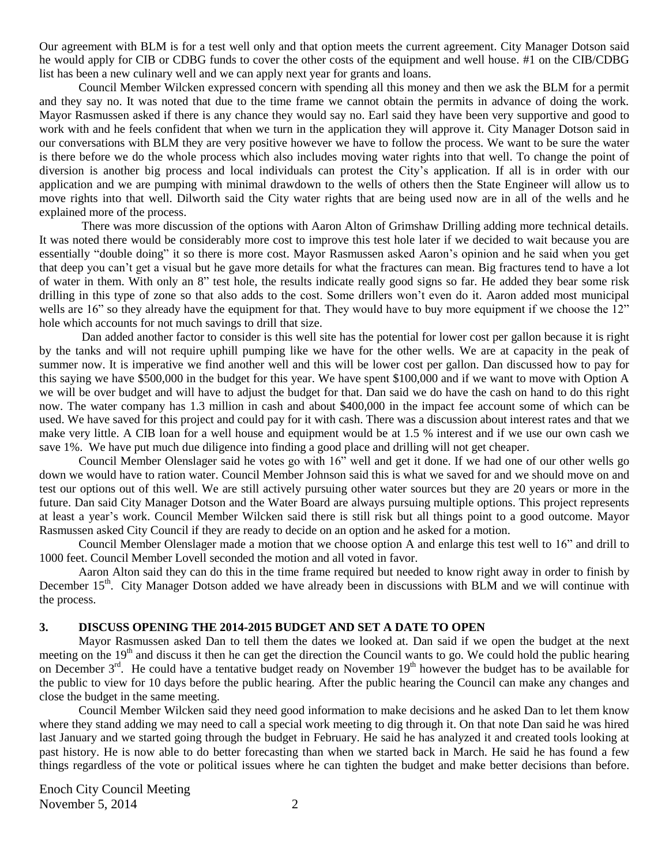Our agreement with BLM is for a test well only and that option meets the current agreement. City Manager Dotson said he would apply for CIB or CDBG funds to cover the other costs of the equipment and well house. #1 on the CIB/CDBG list has been a new culinary well and we can apply next year for grants and loans.

Council Member Wilcken expressed concern with spending all this money and then we ask the BLM for a permit and they say no. It was noted that due to the time frame we cannot obtain the permits in advance of doing the work. Mayor Rasmussen asked if there is any chance they would say no. Earl said they have been very supportive and good to work with and he feels confident that when we turn in the application they will approve it. City Manager Dotson said in our conversations with BLM they are very positive however we have to follow the process. We want to be sure the water is there before we do the whole process which also includes moving water rights into that well. To change the point of diversion is another big process and local individuals can protest the City's application. If all is in order with our application and we are pumping with minimal drawdown to the wells of others then the State Engineer will allow us to move rights into that well. Dilworth said the City water rights that are being used now are in all of the wells and he explained more of the process.

There was more discussion of the options with Aaron Alton of Grimshaw Drilling adding more technical details. It was noted there would be considerably more cost to improve this test hole later if we decided to wait because you are essentially "double doing" it so there is more cost. Mayor Rasmussen asked Aaron's opinion and he said when you get that deep you can't get a visual but he gave more details for what the fractures can mean. Big fractures tend to have a lot of water in them. With only an 8" test hole, the results indicate really good signs so far. He added they bear some risk drilling in this type of zone so that also adds to the cost. Some drillers won't even do it. Aaron added most municipal wells are 16" so they already have the equipment for that. They would have to buy more equipment if we choose the 12" hole which accounts for not much savings to drill that size.

Dan added another factor to consider is this well site has the potential for lower cost per gallon because it is right by the tanks and will not require uphill pumping like we have for the other wells. We are at capacity in the peak of summer now. It is imperative we find another well and this will be lower cost per gallon. Dan discussed how to pay for this saying we have \$500,000 in the budget for this year. We have spent \$100,000 and if we want to move with Option A we will be over budget and will have to adjust the budget for that. Dan said we do have the cash on hand to do this right now. The water company has 1.3 million in cash and about \$400,000 in the impact fee account some of which can be used. We have saved for this project and could pay for it with cash. There was a discussion about interest rates and that we make very little. A CIB loan for a well house and equipment would be at 1.5 % interest and if we use our own cash we save 1%. We have put much due diligence into finding a good place and drilling will not get cheaper.

Council Member Olenslager said he votes go with 16" well and get it done. If we had one of our other wells go down we would have to ration water. Council Member Johnson said this is what we saved for and we should move on and test our options out of this well. We are still actively pursuing other water sources but they are 20 years or more in the future. Dan said City Manager Dotson and the Water Board are always pursuing multiple options. This project represents at least a year's work. Council Member Wilcken said there is still risk but all things point to a good outcome. Mayor Rasmussen asked City Council if they are ready to decide on an option and he asked for a motion.

Council Member Olenslager made a motion that we choose option A and enlarge this test well to 16" and drill to 1000 feet. Council Member Lovell seconded the motion and all voted in favor.

Aaron Alton said they can do this in the time frame required but needed to know right away in order to finish by December 15<sup>th</sup>. City Manager Dotson added we have already been in discussions with BLM and we will continue with the process.

#### **3. DISCUSS OPENING THE 2014-2015 BUDGET AND SET A DATE TO OPEN**

Mayor Rasmussen asked Dan to tell them the dates we looked at. Dan said if we open the budget at the next meeting on the  $19<sup>th</sup>$  and discuss it then he can get the direction the Council wants to go. We could hold the public hearing on December  $3<sup>rd</sup>$ . He could have a tentative budget ready on November  $19<sup>th</sup>$  however the budget has to be available for the public to view for 10 days before the public hearing. After the public hearing the Council can make any changes and close the budget in the same meeting.

Council Member Wilcken said they need good information to make decisions and he asked Dan to let them know where they stand adding we may need to call a special work meeting to dig through it. On that note Dan said he was hired last January and we started going through the budget in February. He said he has analyzed it and created tools looking at past history. He is now able to do better forecasting than when we started back in March. He said he has found a few things regardless of the vote or political issues where he can tighten the budget and make better decisions than before.

Enoch City Council Meeting November 5, 2014 2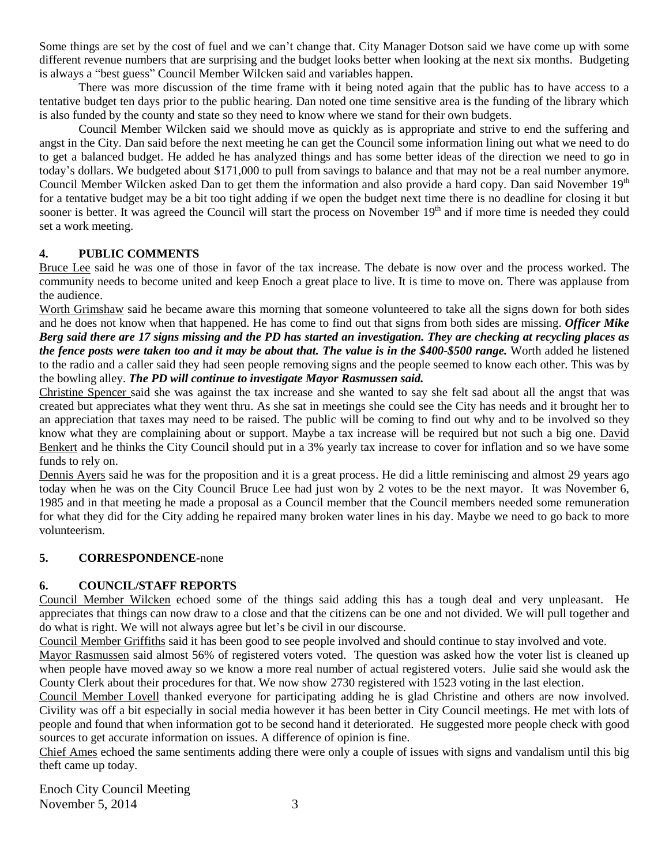Some things are set by the cost of fuel and we can't change that. City Manager Dotson said we have come up with some different revenue numbers that are surprising and the budget looks better when looking at the next six months. Budgeting is always a "best guess" Council Member Wilcken said and variables happen.

There was more discussion of the time frame with it being noted again that the public has to have access to a tentative budget ten days prior to the public hearing. Dan noted one time sensitive area is the funding of the library which is also funded by the county and state so they need to know where we stand for their own budgets.

Council Member Wilcken said we should move as quickly as is appropriate and strive to end the suffering and angst in the City. Dan said before the next meeting he can get the Council some information lining out what we need to do to get a balanced budget. He added he has analyzed things and has some better ideas of the direction we need to go in today's dollars. We budgeted about \$171,000 to pull from savings to balance and that may not be a real number anymore. Council Member Wilcken asked Dan to get them the information and also provide a hard copy. Dan said November 19<sup>th</sup> for a tentative budget may be a bit too tight adding if we open the budget next time there is no deadline for closing it but sooner is better. It was agreed the Council will start the process on November 19<sup>th</sup> and if more time is needed they could set a work meeting.

# **4. PUBLIC COMMENTS**

Bruce Lee said he was one of those in favor of the tax increase. The debate is now over and the process worked. The community needs to become united and keep Enoch a great place to live. It is time to move on. There was applause from the audience.

Worth Grimshaw said he became aware this morning that someone volunteered to take all the signs down for both sides and he does not know when that happened. He has come to find out that signs from both sides are missing. *Officer Mike Berg said there are 17 signs missing and the PD has started an investigation. They are checking at recycling places as the fence posts were taken too and it may be about that. The value is in the \$400-\$500 range.* Worth added he listened to the radio and a caller said they had seen people removing signs and the people seemed to know each other. This was by the bowling alley. *The PD will continue to investigate Mayor Rasmussen said.* 

Christine Spencer said she was against the tax increase and she wanted to say she felt sad about all the angst that was created but appreciates what they went thru. As she sat in meetings she could see the City has needs and it brought her to an appreciation that taxes may need to be raised. The public will be coming to find out why and to be involved so they know what they are complaining about or support. Maybe a tax increase will be required but not such a big one. David Benkert and he thinks the City Council should put in a 3% yearly tax increase to cover for inflation and so we have some funds to rely on.

Dennis Ayers said he was for the proposition and it is a great process. He did a little reminiscing and almost 29 years ago today when he was on the City Council Bruce Lee had just won by 2 votes to be the next mayor. It was November 6, 1985 and in that meeting he made a proposal as a Council member that the Council members needed some remuneration for what they did for the City adding he repaired many broken water lines in his day. Maybe we need to go back to more volunteerism.

#### **5. CORRESPONDENCE-**none

# **6. COUNCIL/STAFF REPORTS**

Council Member Wilcken echoed some of the things said adding this has a tough deal and very unpleasant. He appreciates that things can now draw to a close and that the citizens can be one and not divided. We will pull together and do what is right. We will not always agree but let's be civil in our discourse.

Council Member Griffiths said it has been good to see people involved and should continue to stay involved and vote.

Mayor Rasmussen said almost 56% of registered voters voted. The question was asked how the voter list is cleaned up when people have moved away so we know a more real number of actual registered voters. Julie said she would ask the County Clerk about their procedures for that. We now show 2730 registered with 1523 voting in the last election.

Council Member Lovell thanked everyone for participating adding he is glad Christine and others are now involved. Civility was off a bit especially in social media however it has been better in City Council meetings. He met with lots of people and found that when information got to be second hand it deteriorated. He suggested more people check with good sources to get accurate information on issues. A difference of opinion is fine.

Chief Ames echoed the same sentiments adding there were only a couple of issues with signs and vandalism until this big theft came up today.

Enoch City Council Meeting November 5, 2014 3